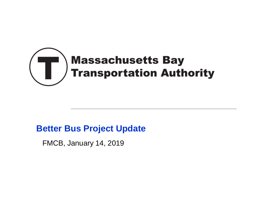

## **Better Bus Project Update**

FMCB, January 14, 2019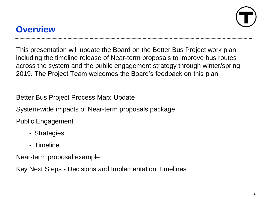# **Overview**

This presentation will update the Board on the Better Bus Project work plan including the timeline release of Near-term proposals to improve bus routes across the system and the public engagement strategy through winter/spring 2019. The Project Team welcomes the Board's feedback on this plan.

Better Bus Project Process Map: Update

System-wide impacts of Near-term proposals package

Public Engagement

- Strategies
- Timeline

Near-term proposal example

Key Next Steps - Decisions and Implementation Timelines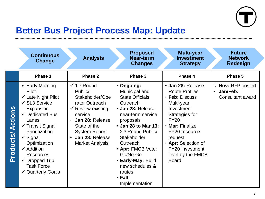

# **Better Bus Project Process Map: Update**

|                         | <b>Continuous</b><br><b>Change</b>                                                                                                                                                                                                                                                                                                                                                 | <b>Analysis</b>                                                                                                                                                                                                                                                 | <b>Proposed</b><br>Near-term<br><b>Changes</b>                                                                                                                                                                                                                                                                                     | <b>Multi-year</b><br><b>Investment</b><br><b>Strategy</b>                                                                                                                                                                                               | <b>Future</b><br><b>Network</b><br><b>Redesign</b>                      |
|-------------------------|------------------------------------------------------------------------------------------------------------------------------------------------------------------------------------------------------------------------------------------------------------------------------------------------------------------------------------------------------------------------------------|-----------------------------------------------------------------------------------------------------------------------------------------------------------------------------------------------------------------------------------------------------------------|------------------------------------------------------------------------------------------------------------------------------------------------------------------------------------------------------------------------------------------------------------------------------------------------------------------------------------|---------------------------------------------------------------------------------------------------------------------------------------------------------------------------------------------------------------------------------------------------------|-------------------------------------------------------------------------|
|                         | Phase 1                                                                                                                                                                                                                                                                                                                                                                            | <b>Phase 2</b>                                                                                                                                                                                                                                                  | Phase 3                                                                                                                                                                                                                                                                                                                            | Phase 4                                                                                                                                                                                                                                                 | Phase 5                                                                 |
| <b>Products/Actions</b> | $\checkmark$ Early Morning<br><b>Pilot</b><br>$\checkmark$ Late Night Pilot<br>$\checkmark$ SL3 Service<br>Expansion<br>$\checkmark$ Dedicated Bus<br>Lanes<br>$\checkmark$ Transit Signal<br>Prioritization<br>$\checkmark$ Signal<br>Optimization<br>$\checkmark$ Addition<br><b>Resources</b><br>$\checkmark$ Dropped Trip<br><b>Task Force</b><br>$\checkmark$ Quarterly Goals | $\checkmark$ 1 <sup>nd</sup> Round<br>Public/<br>Stakeholder/Ope<br>rator Outreach<br>$\checkmark$ Review existing<br>service<br>Jan 28: Release<br>$\bullet$<br>State of the<br><b>System Report</b><br>Jan 28: Release<br>$\bullet$<br><b>Market Analysis</b> | • Ongoing:<br>Municipal and<br><b>State Officials</b><br>Outreach<br>· Jan 28: Release<br>near-term service<br>proposals<br>• Jan 28 to Mar 13:<br>2 <sup>nd</sup> Round Public/<br>Stakeholder<br>Outreach<br>• Apr: FMCB Vote:<br>Go/No-Go<br>• Early-May: Build<br>new schedules &<br>routes<br>$\cdot$ Fall:<br>Implementation | · Jan 28: Release<br><b>Route Profiles</b><br>• Feb: Discuss<br>Multi-year<br>Investment<br>Strategies for<br><b>FY20</b><br>• Mar: Finalize<br>FY20 resource<br>request<br>• Apr: Selection of<br>FY20 investment<br>level by the FMCB<br><b>Board</b> | $\sqrt{ }$ Nov: RFP posted<br>Jan/Feb:<br>$\bullet$<br>Consultant award |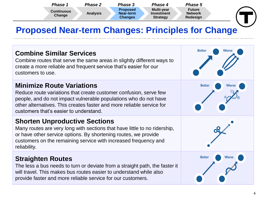

# **Proposed Near-term Changes: Principles for Change**

#### **Combine Similar Services**

Combine routes that serve the same areas in slightly different ways to create a more reliable and frequent service that's easier for our customers to use.

#### **Minimize Route Variations**

Reduce route variations that create customer confusion, serve few people, and do not impact vulnerable populations who do not have other alternatives. This creates faster and more reliable service for customers that's easier to understand.

#### **Shorten Unproductive Sections**

Many routes are very long with sections that have little to no ridership, or have other service options. By shortening routes, we provide customers on the remaining service with increased frequency and reliability.

#### **Straighten Routes**

The less a bus needs to turn or deviate from a straight path, the faster it will travel. This makes bus routes easier to understand while also provide faster and more reliable service for our customers.

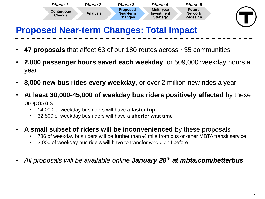

# **Proposed Near-term Changes: Total Impact**

- **47 proposals** that affect 63 of our 180 routes across ~35 communities
- **2,000 passenger hours saved each weekday**, or 509,000 weekday hours a year
- **8,000 new bus rides every weekday**, or over 2 million new rides a year
- **At least 30,000-45,000 of weekday bus riders positively affected** by these proposals
	- 14,000 of weekday bus riders will have a **faster trip**
	- 32,500 of weekday bus riders will have a **shorter wait time**
- **A small subset of riders will be inconvenienced** by these proposals
	- 786 of weekday bus riders will be further than  $\frac{1}{2}$  mile from bus or other MBTA transit service
	- 3,000 of weekday bus riders will have to transfer who didn't before
- *All proposals will be available online January 28th at mbta.com/betterbus*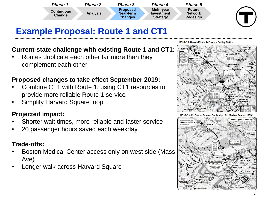

# **Example Proposal: Route 1 and CT1**

#### **Current-state challenge with existing Route 1 and CT1:**

• Routes duplicate each other far more than they complement each other

#### **Proposed changes to take effect September 2019:**

- Combine CT1 with Route 1, using CT1 resources to provide more reliable Route 1 service
- Simplify Harvard Square loop

#### **Projected impact:**

- Shorter wait times, more reliable and faster service
- 20 passenger hours saved each weekday

#### **Trade-offs:**

- Boston Medical Center access only on west side (Mass Ave)
- Longer walk across Harvard Square



Route 1 Harvard/Holyoke Street - Dudley Station

Route CT1 Central Square, Cambridge - BU Medical Campus/BMC

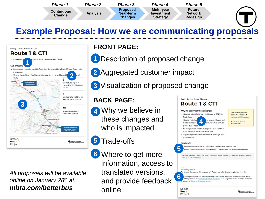

# **Example Proposal: How we are communicating proposals**



*All proposals will be available online on January 28th at: mbta.com/betterbus*

#### **FRONT PAGE:**

**1** Description of proposed change

2 Aggregated customer impact

**3** Visualization of proposed change

#### **BACK PAGE:**

- **4**
	- Why we believe in these changes and who is impacted

• Trade-offs **5**

**6** Where to get more information, access to translated versions, and provide feedback online



<sup>T</sup> Massachusetts Bay<br>Transportation Author

**Bus** 

Project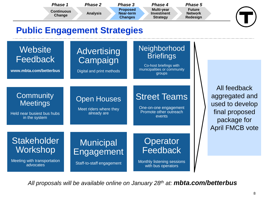| <b>Multi-year</b><br><b>Future</b><br><b>Proposed</b><br><b>Continuous</b><br><b>Analysis</b><br><b>Network</b><br>Near-term<br>Investment<br>Change<br>Redesign<br><b>Changes</b><br><b>Strategy</b> | <b>Phase 1</b> | Phase 2 | Phase 3 | Phase 4 | <b>Phase 5</b> |
|-------------------------------------------------------------------------------------------------------------------------------------------------------------------------------------------------------|----------------|---------|---------|---------|----------------|
|                                                                                                                                                                                                       |                |         |         |         |                |

## **Public Engagement Strategies**

## **Website** Feedback

**www.mbta.com/betterbus**

## Advertising Campaign

Digital and print methods

### **Neighborhood Briefings**

Co-host briefings with municipalities or community groups

#### **Community Meetings**

Held near busiest bus hubs in the system

### Open Houses

Meet riders where they already are

## Street Teams

One-on-one engagement Promote other outreach events

All feedback aggregated and used to develop final proposed package for April FMCB vote

## **Stakeholder** Workshop

Meeting with transportation advocates

## **Municipal** Engagement

Staff-to-staff engagement

## **Operator Feedback**

Monthly listening sessions with bus operators

*All proposals will be available online on January 28th at: mbta.com/betterbus*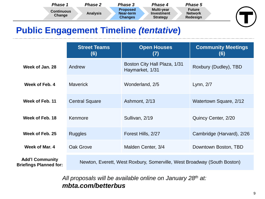| Phase 1                     | Phase 2         | Phase 3                                 | Phase 4                                            | <b>Phase 5</b>                              |  |
|-----------------------------|-----------------|-----------------------------------------|----------------------------------------------------|---------------------------------------------|--|
| <b>Continuous</b><br>Change | <b>Analysis</b> | <b>Proposed</b><br>Near-term<br>Changes | <b>Multi-year</b><br>Investment<br><b>Strategy</b> | <b>Future</b><br><b>Network</b><br>Redesign |  |

## **Public Engagement Timeline** *(tentative***)**

|                                                         | <b>Street Teams</b><br>(6)                                              | <b>Open Houses</b><br>(7)                       | <b>Community Meetings</b><br>(6) |  |  |
|---------------------------------------------------------|-------------------------------------------------------------------------|-------------------------------------------------|----------------------------------|--|--|
| Week of Jan. 28                                         | Andrew                                                                  | Boston City Hall Plaza, 1/31<br>Haymarket, 1/31 | Roxbury (Dudley), TBD            |  |  |
| Week of Feb. 4                                          | <b>Maverick</b>                                                         | Wonderland, 2/5                                 | Lynn, 2/7                        |  |  |
| Week of Feb. 11                                         | <b>Central Square</b>                                                   | Ashmont, 2/13                                   | Watertown Square, 2/12           |  |  |
| Week of Feb. 18                                         | Kenmore                                                                 | Sullivan, 2/19                                  | Quincy Center, 2/20              |  |  |
| Week of Feb. 25                                         | <b>Ruggles</b>                                                          | Forest Hills, 2/27                              | Cambridge (Harvard), 2/26        |  |  |
| Week of Mar. 4                                          | Oak Grove                                                               | Malden Center, 3/4                              | Downtown Boston, TBD             |  |  |
| <b>Add'l Community</b><br><b>Briefings Planned for:</b> | Newton, Everett, West Roxbury, Somerville, West Broadway (South Boston) |                                                 |                                  |  |  |

*All proposals will be available online on January 28th at: mbta.com/betterbus*